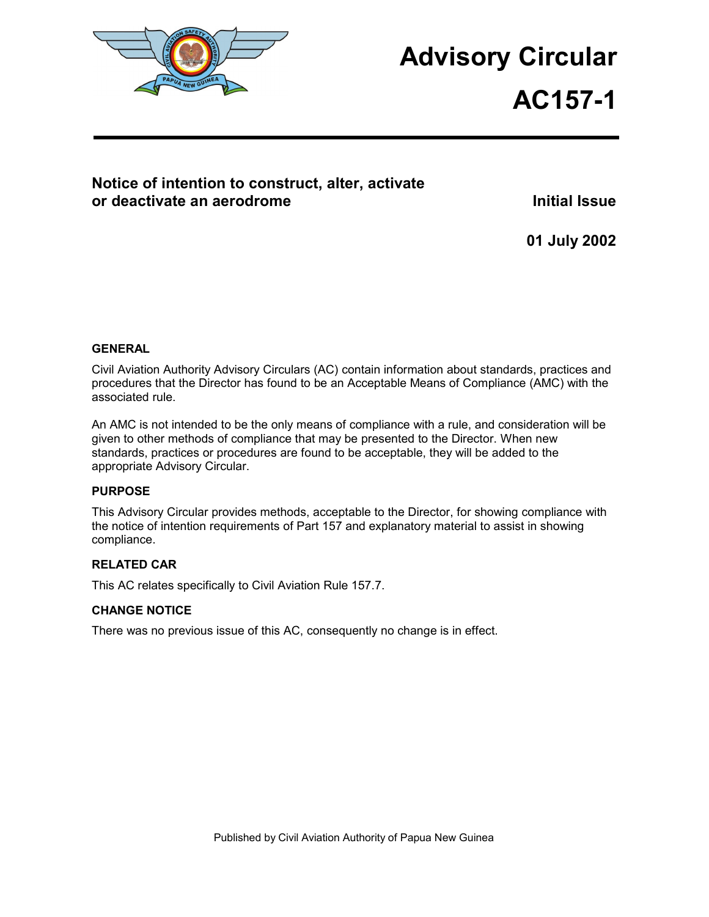

# **Advisory Circular**

# **AC157-1**

### **Notice of intention to construct, alter, activate or deactivate an aerodrome intervalse and the set of the late of the late of the late of the late of the late o**

**01 July 2002** 

#### **GENERAL**

Civil Aviation Authority Advisory Circulars (AC) contain information about standards, practices and procedures that the Director has found to be an Acceptable Means of Compliance (AMC) with the associated rule.

An AMC is not intended to be the only means of compliance with a rule, and consideration will be given to other methods of compliance that may be presented to the Director. When new standards, practices or procedures are found to be acceptable, they will be added to the appropriate Advisory Circular.

#### **PURPOSE**

This Advisory Circular provides methods, acceptable to the Director, for showing compliance with the notice of intention requirements of Part 157 and explanatory material to assist in showing compliance.

#### **RELATED CAR**

This AC relates specifically to Civil Aviation Rule 157.7.

#### **CHANGE NOTICE**

There was no previous issue of this AC, consequently no change is in effect.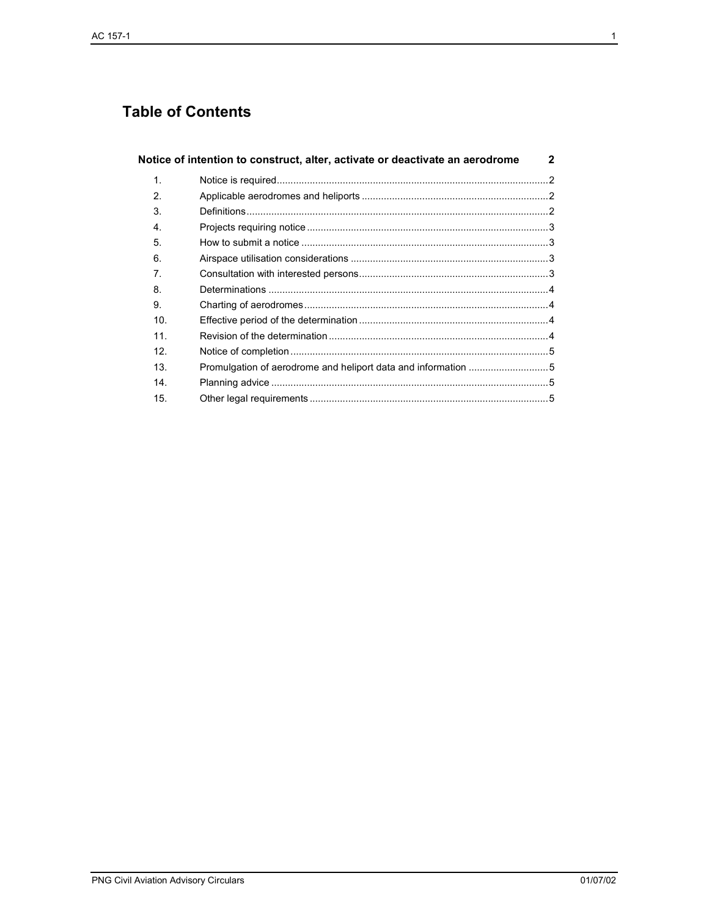## **Table of Contents**

|                 | Notice of intention to construct, alter, activate or deactivate an aerodrome | $\mathbf{2}$ |
|-----------------|------------------------------------------------------------------------------|--------------|
| 1.              |                                                                              |              |
| $\mathbf{2}$    |                                                                              |              |
| 3.              |                                                                              |              |
| 4.              |                                                                              |              |
| 5.              |                                                                              |              |
| 6.              |                                                                              |              |
| 7.              |                                                                              |              |
| 8.              |                                                                              |              |
| 9.              |                                                                              |              |
| 10.             |                                                                              |              |
| 11.             |                                                                              |              |
| 12 <sub>1</sub> |                                                                              |              |
| 13.             |                                                                              |              |
| 14.             |                                                                              |              |
| 15.             |                                                                              |              |

**PNG Civil Aviation Advisory Circulars**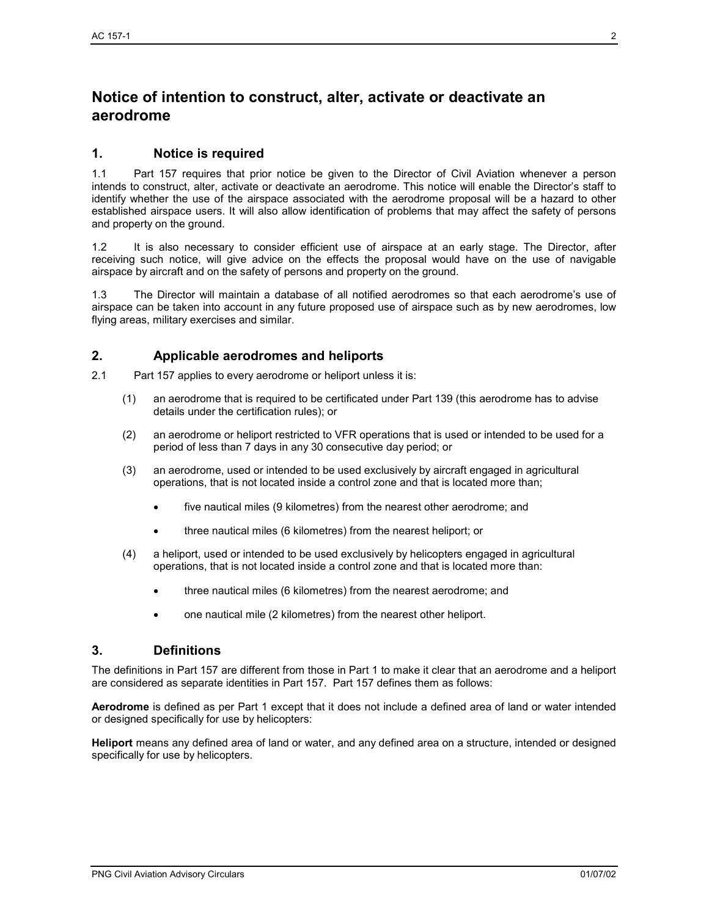### **Notice of intention to construct, alter, activate or deactivate an aerodrome**

#### **1. Notice is required**

1.1 Part 157 requires that prior notice be given to the Director of Civil Aviation whenever a person intends to construct, alter, activate or deactivate an aerodrome. This notice will enable the Director's staff to identify whether the use of the airspace associated with the aerodrome proposal will be a hazard to other established airspace users. It will also allow identification of problems that may affect the safety of persons and property on the ground.

1.2 It is also necessary to consider efficient use of airspace at an early stage. The Director, after receiving such notice, will give advice on the effects the proposal would have on the use of navigable airspace by aircraft and on the safety of persons and property on the ground.

1.3 The Director will maintain a database of all notified aerodromes so that each aerodrome's use of airspace can be taken into account in any future proposed use of airspace such as by new aerodromes, low flying areas, military exercises and similar.

#### **2. Applicable aerodromes and heliports**

2.1 Part 157 applies to every aerodrome or heliport unless it is:

- (1) an aerodrome that is required to be certificated under Part 139 (this aerodrome has to advise details under the certification rules); or
- (2) an aerodrome or heliport restricted to VFR operations that is used or intended to be used for a period of less than 7 days in any 30 consecutive day period; or
- (3) an aerodrome, used or intended to be used exclusively by aircraft engaged in agricultural operations, that is not located inside a control zone and that is located more than;
	- five nautical miles (9 kilometres) from the nearest other aerodrome; and
	- three nautical miles (6 kilometres) from the nearest heliport; or
- (4) a heliport, used or intended to be used exclusively by helicopters engaged in agricultural operations, that is not located inside a control zone and that is located more than:
	- three nautical miles (6 kilometres) from the nearest aerodrome; and
	- one nautical mile (2 kilometres) from the nearest other heliport.

#### **3. Definitions**

The definitions in Part 157 are different from those in Part 1 to make it clear that an aerodrome and a heliport are considered as separate identities in Part 157. Part 157 defines them as follows:

**Aerodrome** is defined as per Part 1 except that it does not include a defined area of land or water intended or designed specifically for use by helicopters:

**Heliport** means any defined area of land or water, and any defined area on a structure, intended or designed specifically for use by helicopters.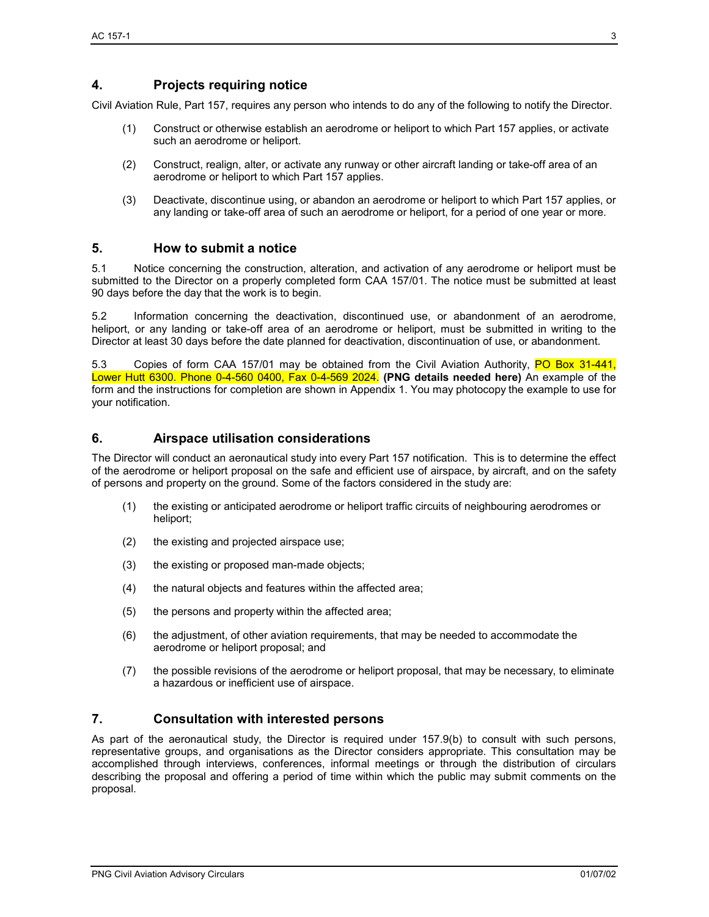#### **4. Projects requiring notice**

Civil Aviation Rule, Part 157, requires any person who intends to do any of the following to notify the Director.

- (1) Construct or otherwise establish an aerodrome or heliport to which Part 157 applies, or activate such an aerodrome or heliport.
- (2) Construct, realign, alter, or activate any runway or other aircraft landing or take-off area of an aerodrome or heliport to which Part 157 applies.
- (3) Deactivate, discontinue using, or abandon an aerodrome or heliport to which Part 157 applies, or any landing or take-off area of such an aerodrome or heliport, for a period of one year or more.

#### **5. How to submit a notice**

5.1 Notice concerning the construction, alteration, and activation of any aerodrome or heliport must be submitted to the Director on a properly completed form CAA 157/01. The notice must be submitted at least 90 days before the day that the work is to begin.

5.2 Information concerning the deactivation, discontinued use, or abandonment of an aerodrome, heliport, or any landing or take-off area of an aerodrome or heliport, must be submitted in writing to the Director at least 30 days before the date planned for deactivation, discontinuation of use, or abandonment.

5.3 Copies of form CAA 157/01 may be obtained from the Civil Aviation Authority, PO Box 31-441, Lower Hutt 6300. Phone 0-4-560 0400, Fax 0-4-569 2024. **(PNG details needed here)** An example of the form and the instructions for completion are shown in Appendix 1. You may photocopy the example to use for your notification.

#### **6. Airspace utilisation considerations**

The Director will conduct an aeronautical study into every Part 157 notification. This is to determine the effect of the aerodrome or heliport proposal on the safe and efficient use of airspace, by aircraft, and on the safety of persons and property on the ground. Some of the factors considered in the study are:

- (1) the existing or anticipated aerodrome or heliport traffic circuits of neighbouring aerodromes or heliport;
- (2) the existing and projected airspace use;
- (3) the existing or proposed man-made objects;
- (4) the natural objects and features within the affected area;
- (5) the persons and property within the affected area;
- (6) the adjustment, of other aviation requirements, that may be needed to accommodate the aerodrome or heliport proposal; and
- (7) the possible revisions of the aerodrome or heliport proposal, that may be necessary, to eliminate a hazardous or inefficient use of airspace.

#### **7. Consultation with interested persons**

As part of the aeronautical study, the Director is required under 157.9(b) to consult with such persons, representative groups, and organisations as the Director considers appropriate. This consultation may be accomplished through interviews, conferences, informal meetings or through the distribution of circulars describing the proposal and offering a period of time within which the public may submit comments on the proposal.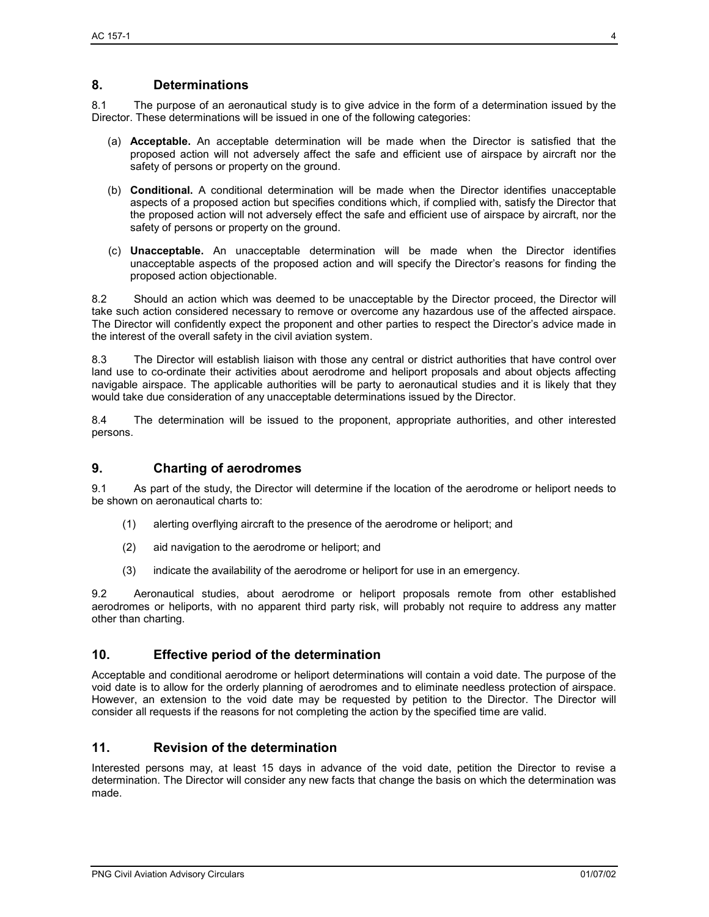#### **8. Determinations**

8.1 The purpose of an aeronautical study is to give advice in the form of a determination issued by the Director. These determinations will be issued in one of the following categories:

- (a) **Acceptable.** An acceptable determination will be made when the Director is satisfied that the proposed action will not adversely affect the safe and efficient use of airspace by aircraft nor the safety of persons or property on the ground.
- (b) **Conditional.** A conditional determination will be made when the Director identifies unacceptable aspects of a proposed action but specifies conditions which, if complied with, satisfy the Director that the proposed action will not adversely effect the safe and efficient use of airspace by aircraft, nor the safety of persons or property on the ground.
- (c) **Unacceptable.** An unacceptable determination will be made when the Director identifies unacceptable aspects of the proposed action and will specify the Director's reasons for finding the proposed action objectionable.

8.2 Should an action which was deemed to be unacceptable by the Director proceed, the Director will take such action considered necessary to remove or overcome any hazardous use of the affected airspace. The Director will confidently expect the proponent and other parties to respect the Director's advice made in the interest of the overall safety in the civil aviation system.

8.3 The Director will establish liaison with those any central or district authorities that have control over land use to co-ordinate their activities about aerodrome and heliport proposals and about objects affecting navigable airspace. The applicable authorities will be party to aeronautical studies and it is likely that they would take due consideration of any unacceptable determinations issued by the Director.

8.4 The determination will be issued to the proponent, appropriate authorities, and other interested persons.

#### **9. Charting of aerodromes**

9.1 As part of the study, the Director will determine if the location of the aerodrome or heliport needs to be shown on aeronautical charts to:

- (1) alerting overflying aircraft to the presence of the aerodrome or heliport; and
- (2) aid navigation to the aerodrome or heliport; and
- (3) indicate the availability of the aerodrome or heliport for use in an emergency.

9.2 Aeronautical studies, about aerodrome or heliport proposals remote from other established aerodromes or heliports, with no apparent third party risk, will probably not require to address any matter other than charting.

#### **10. Effective period of the determination**

Acceptable and conditional aerodrome or heliport determinations will contain a void date. The purpose of the void date is to allow for the orderly planning of aerodromes and to eliminate needless protection of airspace. However, an extension to the void date may be requested by petition to the Director. The Director will consider all requests if the reasons for not completing the action by the specified time are valid.

#### **11. Revision of the determination**

Interested persons may, at least 15 days in advance of the void date, petition the Director to revise a determination. The Director will consider any new facts that change the basis on which the determination was made.